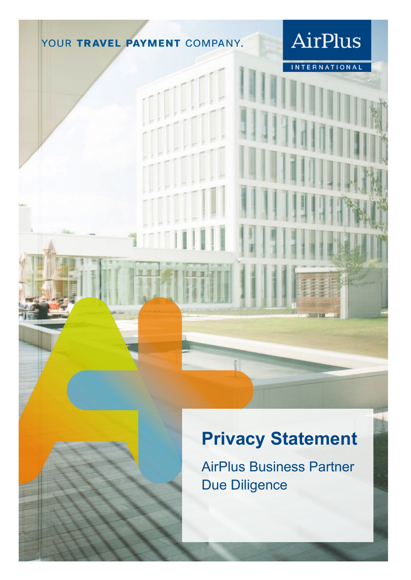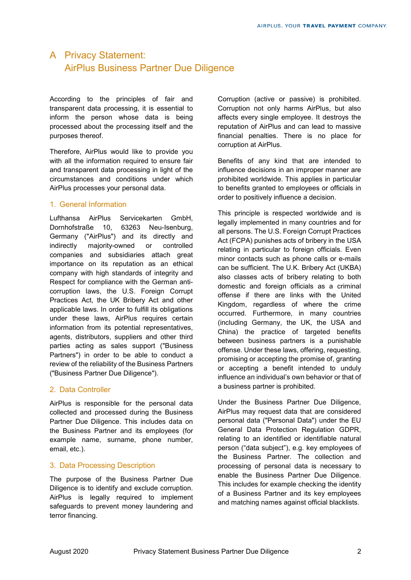# A Privacy Statement: AirPlus Business Partner Due Diligence

According to the principles of fair and transparent data processing, it is essential to inform the person whose data is being processed about the processing itself and the purposes thereof.

Therefore, AirPlus would like to provide you with all the information required to ensure fair and transparent data processing in light of the circumstances and conditions under which AirPlus processes your personal data.

#### 1. General Information

Lufthansa AirPlus Servicekarten GmbH, Dornhofstraße 10, 63263 Neu-Isenburg, Germany ("AirPlus") and its directly and indirectly majority-owned or controlled companies and subsidiaries attach great importance on its reputation as an ethical company with high standards of integrity and Respect for compliance with the German anticorruption laws, the U.S. Foreign Corrupt Practices Act, the UK Bribery Act and other applicable laws. In order to fulfill its obligations under these laws, AirPlus requires certain information from its potential representatives, agents, distributors, suppliers and other third parties acting as sales support ("Business Partners") in order to be able to conduct a review of the reliability of the Business Partners ("Business Partner Due Diligence").

## 2. Data Controller

AirPlus is responsible for the personal data collected and processed during the Business Partner Due Diligence. This includes data on the Business Partner and its employees (for example name, surname, phone number, email, etc.).

## 3. Data Processing Description

The purpose of the Business Partner Due Diligence is to identify and exclude corruption. AirPlus is legally required to implement safeguards to prevent money laundering and terror financing.

Corruption (active or passive) is prohibited. Corruption not only harms AirPlus, but also affects every single employee. It destroys the reputation of AirPlus and can lead to massive financial penalties. There is no place for corruption at AirPlus.

Benefits of any kind that are intended to influence decisions in an improper manner are prohibited worldwide. This applies in particular to benefits granted to employees or officials in order to positively influence a decision.

This principle is respected worldwide and is legally implemented in many countries and for all persons. The U.S. Foreign Corrupt Practices Act (FCPA) punishes acts of bribery in the USA relating in particular to foreign officials. Even minor contacts such as phone calls or e-mails can be sufficient. The U.K. Bribery Act (UKBA) also classes acts of bribery relating to both domestic and foreign officials as a criminal offense if there are links with the United Kingdom, regardless of where the crime occurred. Furthermore, in many countries (including Germany, the UK, the USA and China) the practice of targeted benefits between business partners is a punishable offense. Under these laws, offering, requesting, promising or accepting the promise of, granting or accepting a benefit intended to unduly influence an individual's own behavior or that of a business partner is prohibited.

Under the Business Partner Due Diligence, AirPlus may request data that are considered personal data ("Personal Data") under the EU General Data Protection Regulation GDPR, relating to an identified or identifiable natural person ("data subject"), e.g. key employees of the Business Partner. The collection and processing of personal data is necessary to enable the Business Partner Due Diligence. This includes for example checking the identity of a Business Partner and its key employees and matching names against official blacklists.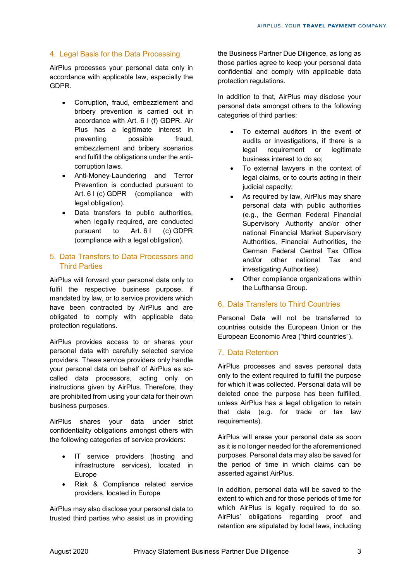### 4. Legal Basis for the Data Processing

AirPlus processes your personal data only in accordance with applicable law, especially the GDPR.

- Corruption, fraud, embezzlement and bribery prevention is carried out in accordance with Art. 6 I (f) GDPR. Air Plus has a legitimate interest in preventing possible fraud, embezzlement and bribery scenarios and fulfill the obligations under the anticorruption laws.
- Anti-Money-Laundering and Terror Prevention is conducted pursuant to Art. 6 I (c) GDPR (compliance with legal obligation).
- Data transfers to public authorities, when legally required, are conducted pursuant to Art. 6 I (c) GDPR (compliance with a legal obligation).

#### 5. Data Transfers to Data Processors and Third Parties

AirPlus will forward your personal data only to fulfil the respective business purpose, if mandated by law, or to service providers which have been contracted by AirPlus and are obligated to comply with applicable data protection regulations.

AirPlus provides access to or shares your personal data with carefully selected service providers. These service providers only handle your personal data on behalf of AirPlus as socalled data processors, acting only on instructions given by AirPlus. Therefore, they are prohibited from using your data for their own business purposes.

AirPlus shares your data under strict confidentiality obligations amongst others with the following categories of service providers:

- IT service providers (hosting and infrastructure services), located in Europe
- Risk & Compliance related service providers, located in Europe

AirPlus may also disclose your personal data to trusted third parties who assist us in providing

the Business Partner Due Diligence, as long as those parties agree to keep your personal data confidential and comply with applicable data protection regulations.

In addition to that, AirPlus may disclose your personal data amongst others to the following categories of third parties:

- To external auditors in the event of audits or investigations, if there is a legal requirement or legitimate business interest to do so;
- To external lawyers in the context of legal claims, or to courts acting in their judicial capacity;
- As required by law, AirPlus may share personal data with public authorities (e.g., the German Federal Financial Supervisory Authority and/or other national Financial Market Supervisory Authorities, Financial Authorities, the German Federal Central Tax Office and/or other national Tax and investigating Authorities).
- Other compliance organizations within the Lufthansa Group.

#### 6. Data Transfers to Third Countries

Personal Data will not be transferred to countries outside the European Union or the European Economic Area ("third countries").

## 7. Data Retention

AirPlus processes and saves personal data only to the extent required to fulfill the purpose for which it was collected. Personal data will be deleted once the purpose has been fulfilled, unless AirPlus has a legal obligation to retain that data (e.g. for trade or tax law requirements).

AirPlus will erase your personal data as soon as it is no longer needed for the aforementioned purposes. Personal data may also be saved for the period of time in which claims can be asserted against AirPlus.

In addition, personal data will be saved to the extent to which and for those periods of time for which AirPlus is legally required to do so. AirPlus' obligations regarding proof and retention are stipulated by local laws, including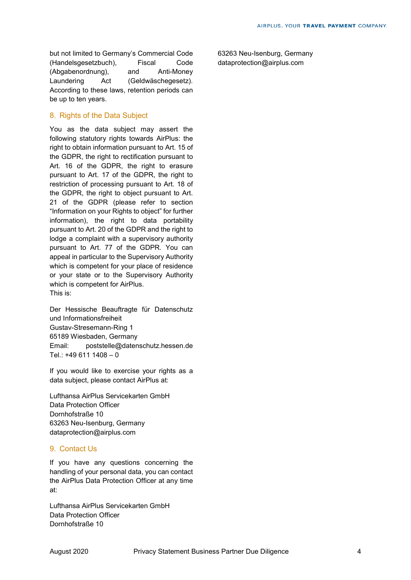but not limited to Germany's Commercial Code (Handelsgesetzbuch), Fiscal Code (Abgabenordnung), and Anti-Money Laundering Act (Geldwäschegesetz). According to these laws, retention periods can be up to ten years.

#### 8. Rights of the Data Subject

You as the data subject may assert the following statutory rights towards AirPlus: the right to obtain information pursuant to Art. 15 of the GDPR, the right to rectification pursuant to Art. 16 of the GDPR, the right to erasure pursuant to Art. 17 of the GDPR, the right to restriction of processing pursuant to Art. 18 of the GDPR, the right to object pursuant to Art. 21 of the GDPR (please refer to section "Information on your Rights to object" for further information), the right to data portability pursuant to Art. 20 of the GDPR and the right to lodge a complaint with a supervisory authority pursuant to Art. 77 of the GDPR. You can appeal in particular to the Supervisory Authority which is competent for your place of residence or your state or to the Supervisory Authority which is competent for AirPlus. This is:

Der Hessische Beauftragte für Datenschutz und Informationsfreiheit Gustav-Stresemann-Ring 1 65189 Wiesbaden, Germany Email: poststelle@datenschutz.hessen.de Tel.: +49 611 1408 – 0

If you would like to exercise your rights as a data subject, please contact AirPlus at:

Lufthansa AirPlus Servicekarten GmbH Data Protection Officer Dornhofstraße 10 63263 Neu-Isenburg, Germany dataprotection@airplus.com

#### 9. Contact Us

If you have any questions concerning the handling of your personal data, you can contact the AirPlus Data Protection Officer at any time at:

Lufthansa AirPlus Servicekarten GmbH Data Protection Officer Dornhofstraße 10

63263 Neu-Isenburg, Germany dataprotection@airplus.com